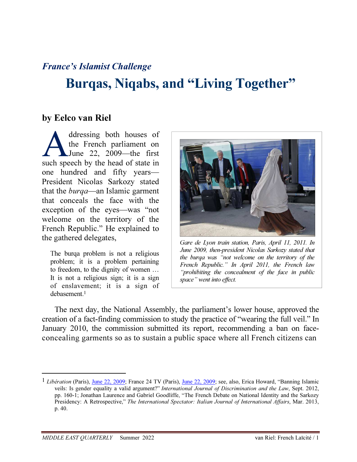## France's Islamist Challenge

# Burqas, Niqabs, and "Living Together"

### by Eelco van Riel

ddressing both houses of the French parliament on June 22, 2009—the first such speech by the head of state in one hundred and fifty years— President Nicolas Sarkozy stated that the burqa—an Islamic garment that conceals the face with the exception of the eyes—was "not welcome on the territory of the French Republic." He explained to the gathered delegates,  $A$ 

The burqa problem is not a religious problem; it is a problem pertaining to freedom, to the dignity of women … It is not a religious sign; it is a sign of enslavement; it is a sign of debasement. 1



Gare de Lyon train station, Paris, April 11, 2011. In June 2009, then-president Nicolas Sarkozy stated that the burqa was "not welcome on the territory of the French Republic." In April 2011, the French law "prohibiting the concealment of the face in public space" went into effect.

The next day, the National Assembly, the parliament's lower house, approved the creation of a fact-finding commission to study the practice of "wearing the full veil." In January 2010, the commission submitted its report, recommending a ban on faceconcealing garments so as to sustain a public space where all French citizens can

 $1$  Libération (Paris), June 22, 2009; France 24 TV (Paris), June 22, 2009; see, also, Erica Howard, "Banning Islamic veils: Is gender equality a valid argument?" International Journal of Discrimination and the Law, Sept. 2012, pp. 160-1; Jonathan Laurence and Gabriel Goodliffe, "The French Debate on National Identity and the Sarkozy Presidency: A Retrospective," The International Spectator: Italian Journal of International Affairs, Mar. 2013, p. 40.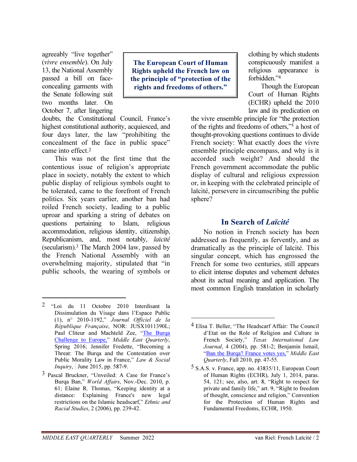agreeably "live together" (vivre ensemble). On July 13, the National Assembly passed a bill on faceconcealing garments with the Senate following suit two months later. On October 7, after lingering

The European Court of Human Rights upheld the French law on the principle of "protection of the rights and freedoms of others."

-

doubts, the Constitutional Council, France's highest constitutional authority, acquiesced, and four days later, the law "prohibiting the concealment of the face in public space" came into effect.<sup>2</sup>

This was not the first time that the contentious issue of religion's appropriate place in society, notably the extent to which public display of religious symbols ought to be tolerated, came to the forefront of French politics. Six years earlier, another ban had roiled French society, leading to a public uproar and sparking a string of debates on questions pertaining to Islam, religious accommodation, religious identity, citizenship, Republicanism, and, most notably, laïcité (secularism).<sup>3</sup> The March 2004 law, passed by the French National Assembly with an overwhelming majority, stipulated that "in public schools, the wearing of symbols or

 $\overline{a}$ 

clothing by which students conspicuously manifest a religious appearance is forbidden."<sup>4</sup>

Though the European Court of Human Rights (ECHR) upheld the 2010 law and its predication on

the vivre ensemble principle for "the protection of the rights and freedoms of others,"<sup>5</sup> a host of thought-provoking questions continues to divide French society: What exactly does the vivre ensemble principle encompass, and why is it accorded such weight? And should the French government accommodate the public display of cultural and religious expression or, in keeping with the celebrated principle of laïcité, persevere in circumscribing the public sphere?

#### In Search of Laïcité

No notion in French society has been addressed as frequently, as fervently, and as dramatically as the principle of laïcité. This singular concept, which has engrossed the French for some two centuries, still appears to elicit intense disputes and vehement debates about its actual meaning and application. The most common English translation in scholarly

<sup>2 &</sup>quot;Loi du 11 Octobre 2010 Interdisant la Dissimulation du Visage dans l'Espace Public (1), n° 2010-1192," Journal Officiel de la République Française, NOR: JUSX1011390L; Paul Cliteur and Machteld Zee, "The Burqa Challenge to Europe," Middle East Quarterly, Spring 2016; Jennifer Fredette, "Becoming a Threat: The Burqa and the Contestation over Public Morality Law in France," Law & Social Inquiry, June 2015, pp. 587-9.

<sup>3</sup> Pascal Bruckner, "Unveiled: A Case for France's Burqa Ban," World Affairs, Nov.-Dec. 2010, p. 61; Elaine R. Thomas, "Keeping identity at a distance: Explaining France's new legal restrictions on the Islamic headscarf," Ethnic and Racial Studies, 2 (2006), pp. 239-42.

<sup>4</sup> Elisa T. Beller, "The Headscarf Affair: The Council d'Etat on the Role of Religion and Culture in French Society," Texas International Law Journal, 4 (2004), pp. 581-2; Benjamin Ismail, "Ban the Burga? France votes yes," Middle East Quarterly, Fall 2010, pp. 47-55.

<sup>5</sup> S.A.S. v. France, app. no. 43835/11, European Court of Human Rights (ECHR), July 1, 2014, paras. 54, 121; see, also, art. 8, "Right to respect for private and family life," art. 9, "Right to freedom of thought, conscience and religion," Convention for the Protection of Human Rights and Fundamental Freedoms, ECHR, 1950.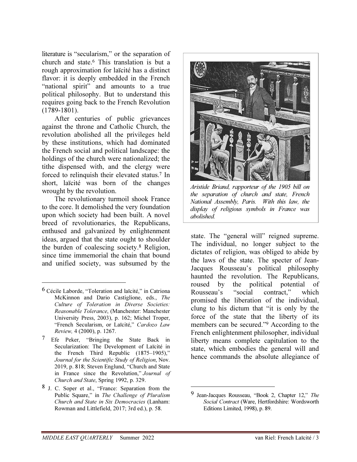literature is "secularism," or the separation of church and state.<sup>6</sup> This translation is but a rough approximation for laïcité has a distinct flavor: it is deeply embedded in the French "national spirit" and amounts to a true political philosophy. But to understand this requires going back to the French Revolution (1789-1801).

After centuries of public grievances against the throne and Catholic Church, the revolution abolished all the privileges held by these institutions, which had dominated the French social and political landscape: the holdings of the church were nationalized; the tithe dispensed with, and the clergy were forced to relinquish their elevated status.<sup>7</sup> In short, laïcité was born of the changes wrought by the revolution.

The revolutionary turmoil shook France to the core. It demolished the very foundation upon which society had been built. A novel breed of revolutionaries, the Republicans, enthused and galvanized by enlightenment ideas, argued that the state ought to shoulder the burden of coalescing society.<sup>8</sup> Religion, since time immemorial the chain that bound and unified society, was subsumed by the

<u>.</u>

7 Efe Peker, "Bringing the State Back in Secularization: The Development of Laïcité in the French Third Republic (1875–1905)," Journal for the Scientific Study of Religion, Nov. 2019, p. 818; Steven Englund, "Church and State in France since the Revolution," Journal of Church and State, Spring 1992, p. 329.

8 J. C. Soper et al., "France: Separation from the Public Square," in The Challenge of Pluralism Church and State in Six Democracies (Lanham: Rowman and Littlefield, 2017; 3rd ed.), p. 58.



Aristide Briand, rapporteur of the 1905 bill on the separation of church and state, French National Assembly, Paris. With this law, the display of religious symbols in France was abolished.

state. The "general will" reigned supreme. The individual, no longer subject to the dictates of religion, was obliged to abide by the laws of the state. The specter of Jean-Jacques Rousseau's political philosophy haunted the revolution. The Republicans, roused by the political potential of Rousseau's "social contract," which promised the liberation of the individual, clung to his dictum that "it is only by the force of the state that the liberty of its members can be secured."<sup>9</sup> According to the French enlightenment philosopher, individual liberty means complete capitulation to the state, which embodies the general will and hence commands the absolute allegiance of

<sup>6</sup> Cécile Laborde, "Toleration and laïcité," in Catriona McKinnon and Dario Castiglione, eds., The Culture of Toleration in Diverse Societies: Reasonable Tolerance, (Manchester: Manchester University Press, 2003), p. 162; Michel Troper, "French Secularism, or Laïcité," Cardozo Law Review, 4 (2000), p. 1267.

<sup>9</sup> Jean-Jacques Rousseau, "Book 2, Chapter 12," The Social Contract (Ware, Hertfordshire: Wordsworth Editions Limited, 1998), p. 89.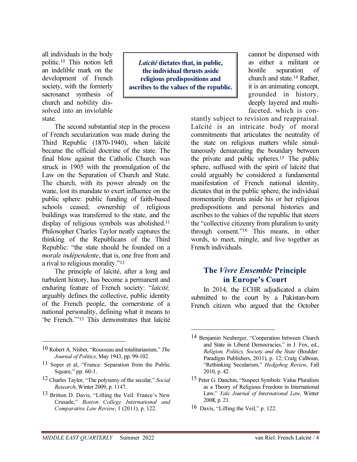all individuals in the body politic.<sup>10</sup> This notion left an indelible mark on the development of French society, with the formerly sacrosanct synthesis of church and nobility dissolved into an inviolable state.

Laïcité dictates that, in public, the individual thrusts aside religious predispositions and ascribes to the values of the republic.

The second substantial step in the process of French secularization was made during the Third Republic (1870-1940), when laïcité became the official doctrine of the state. The final blow against the Catholic Church was struck in 1905 with the promulgation of the Law on the Separation of Church and State. The church, with its power already on the wane, lost its mandate to exert influence on the public sphere: public funding of faith-based schools ceased; ownership of religious buildings was transferred to the state, and the display of religious symbols was abolished.<sup>11</sup> Philosopher Charles Taylor neatly captures the thinking of the Republicans of the Third Republic: "the state should be founded on a morale indépendente, that is, one free from and a rival to religious morality."<sup>12</sup>

The principle of laïcité, after a long and turbulent history, has become a permanent and enduring feature of French society: "laïcité, arguably defines the collective, public identity of the French people, the cornerstone of a national personality, defining what it means to 'be French.'"<sup>13</sup> This demonstrates that laïcité

 $\overline{a}$ 

- <sup>12</sup> Charles Taylor, "The polysemy of the secular," Social Research, Winter 2009, p. 1147.
- 13 Britton D. Davis, "Lifting the Veil: France's New Crusade," Boston College International and Comparative Law Review, 1 (2011), p. 122.

cannot be dispensed with as either a militant or hostile separation of church and state.<sup>14</sup> Rather, it is an animating concept, grounded in history, deeply layered and multifaceted, which is con-

stantly subject to revision and reappraisal. Laïcité is an intricate body of moral commitments that articulates the neutrality of the state on religious matters while simultaneously demarcating the boundary between the private and public spheres.<sup>15</sup> The public sphere, suffused with the spirit of laïcité that could arguably be considered a fundamental manifestation of French national identity, dictates that in the public sphere, the individual momentarily thrusts aside his or her religious predispositions and personal histories and ascribes to the values of the republic that steers the "collective citizenry from pluralism to unity through consent."<sup>16</sup> This means, in other words, to meet, mingle, and live together as French individuals.

#### The Vivre Ensemble Principle in Europe's Court

In 2014, the ECHR adjudicated a claim submitted to the court by a Pakistan-born French citizen who argued that the October

<u>.</u>

<sup>10</sup> Robert A. Nisbet, "Rousseau and totalitarianism," The Journal of Politics, May 1943, pp. 99-102.

<sup>11</sup> Soper et al, "France: Separation from the Public Square," pp. 60-1.

<sup>14</sup> Benjamin Neuberger, "Cooperation between Church and State in Liberal Democracies," in J. Fox, ed., Religion, Politics, Society and the State (Boulder: Paradigm Publishers, 2011), p. 12; Craig Calhoun, "Rethinking Secularism," Hedgehog Review, Fall 2010, p. 42.

<sup>15</sup> Peter G. Danchin, "Suspect Symbols: Value Pluralism as a Theory of Religious Freedom in International Law," Yale Journal of International Law, Winter 2008, p. 21.

<sup>16</sup> Davis, "Lifting the Veil," p. 122.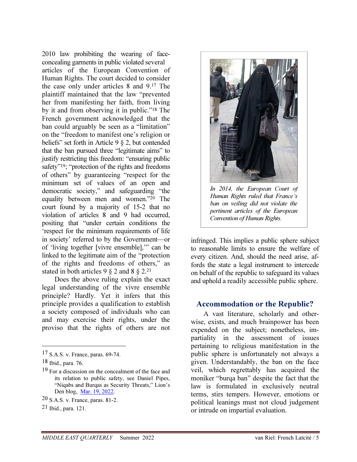2010 law prohibiting the wearing of faceconcealing garments in public violated several articles of the European Convention of Human Rights. The court decided to consider the case only under articles 8 and 9.<sup>17</sup> The plaintiff maintained that the law "prevented her from manifesting her faith, from living by it and from observing it in public."<sup>18</sup> The French government acknowledged that the ban could arguably be seen as a "limitation" on the "freedom to manifest one's religion or beliefs" set forth in Article 9 § 2, but contended that the ban pursued three "legitimate aims" to justify restricting this freedom: "ensuring public safety"<sup>19</sup>; "protection of the rights and freedoms of others" by guaranteeing "respect for the minimum set of values of an open and democratic society," and safeguarding "the equality between men and women."<sup>20</sup> The court found by a majority of 15-2 that no violation of articles 8 and 9 had occurred, positing that "under certain conditions the 'respect for the minimum requirements of life in society' referred to by the Government—or of 'living together [vivre ensemble],'" can be linked to the legitimate aim of the "protection of the rights and freedoms of others," as stated in both articles 9  $\S$  2 and 8  $\S$  2.<sup>21</sup>

Does the above ruling explain the exact legal understanding of the vivre ensemble principle? Hardly. Yet it infers that this principle provides a qualification to establish a society composed of individuals who can and may exercise their rights, under the proviso that the rights of others are not

 $\overline{a}$ 

20 S.A.S. v. France, paras. 81-2.

21 Ibid., para. 121.



In 2014, the European Court of Human Rights ruled that France's ban on veiling did not violate the pertinent articles of the European Convention of Human Rights.

infringed. This implies a public sphere subject to reasonable limits to ensure the welfare of every citizen. And, should the need arise, affords the state a legal instrument to intercede on behalf of the republic to safeguard its values and uphold a readily accessible public sphere.

#### Accommodation or the Republic?

A vast literature, scholarly and otherwise, exists, and much brainpower has been expended on the subject; nonetheless, impartiality in the assessment of issues pertaining to religious manifestation in the public sphere is unfortunately not always a given. Understandably, the ban on the face veil, which regrettably has acquired the moniker "burqa ban" despite the fact that the law is formulated in exclusively neutral terms, stirs tempers. However, emotions or political leanings must not cloud judgement or intrude on impartial evaluation.

<sup>17</sup> S.A.S. v. France, paras. 69-74.

<sup>18</sup> Ibid., para. 76.

<sup>19</sup> For a discussion on the concealment of the face and its relation to public safety, see Daniel Pipes, "Niqabs and Burqas as Security Threats," Lion's Den blog, Mar. 19, 2022.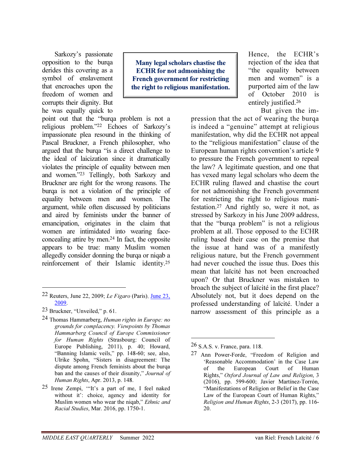Sarkozy's passionate opposition to the burqa derides this covering as a symbol of enslavement that encroaches upon the freedom of women and corrupts their dignity. But he was equally quick to

Many legal scholars chastise the ECHR for not admonishing the French government for restricting the right to religious manifestation.

point out that the "burqa problem is not a religious problem."<sup>22</sup> Echoes of Sarkozy's impassionate plea resound in the thinking of Pascal Bruckner, a French philosopher, who argued that the burqa "is a direct challenge to the ideal of laicization since it dramatically violates the principle of equality between men and women."<sup>23</sup> Tellingly, both Sarkozy and Bruckner are right for the wrong reasons. The burqa is not a violation of the principle of equality between men and women. The argument, while often discussed by politicians and aired by feminists under the banner of emancipation, originates in the claim that women are intimidated into wearing faceconcealing attire by men.<sup>24</sup> In fact, the opposite appears to be true: many Muslim women allegedly consider donning the burqa or niqab a reinforcement of their Islamic identity.<sup>25</sup>

 $\overline{a}$ 

24 Thomas Hammarberg, Human rights in Europe: no grounds for complacency. Viewpoints by Thomas Hammarberg Council of Europe Commissioner for Human Rights (Strasbourg: Council of Europe Publishing, 2011), p. 40; Howard, "Banning Islamic veils," pp. 148-60; see, also, Ulrike Spohn, "Sisters in disagreement: The dispute among French feminists about the burqa ban and the causes of their disunity," Journal of Human Rights, Apr. 2013, p. 148.

Hence, the ECHR's rejection of the idea that "the equality between men and women" is a purported aim of the law of October 2010 is entirely justified.<sup>26</sup>

But given the im-

pression that the act of wearing the burqa is indeed a "genuine" attempt at religious manifestation, why did the ECHR not appeal to the "religious manifestation" clause of the European human rights convention's article 9 to pressure the French government to repeal the law? A legitimate question, and one that has vexed many legal scholars who deem the ECHR ruling flawed and chastise the court for not admonishing the French government for restricting the right to religious manifestation.<sup>27</sup> And rightly so, were it not, as stressed by Sarkozy in his June 2009 address, that the "burqa problem" is not a religious problem at all. Those opposed to the ECHR ruling based their case on the premise that the issue at hand was of a manifestly religious nature, but the French government had never couched the issue thus. Does this mean that laïcité has not been encroached upon? Or that Bruckner was mistaken to broach the subject of laïcité in the first place? Absolutely not, but it does depend on the professed understanding of laïcité. Under a narrow assessment of this principle as a

-

 $22$  Reuters, June 22, 2009; Le Figaro (Paris), June 23, 2009.

<sup>23</sup> Bruckner, "Unveiled," p. 61.

<sup>25</sup> Irene Zempi, '"It's a part of me, I feel naked without it': choice, agency and identity for Muslim women who wear the niqab," Ethnic and Racial Studies, Mar. 2016, pp. 1750-1.

 $26$  S.A.S. v. France, para. 118.

<sup>27</sup> Ann Power-Forde, "Freedom of Religion and 'Reasonable Accommodation' in the Case Law of the European Court of Human Rights," Oxford Journal of Law and Religion, 3 (2016), pp. 599-600; Javier Martínez-Torrón, "Manifestations of Religion or Belief in the Case Law of the European Court of Human Rights," Religion and Human Rights, 2-3 (2017), pp. 116- 20.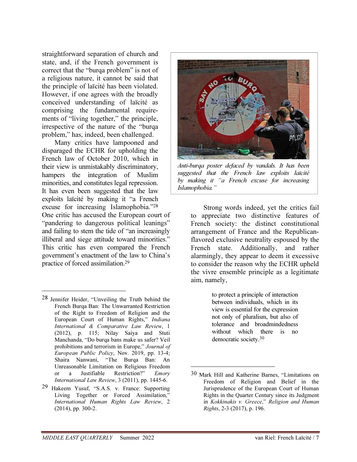straightforward separation of church and state, and, if the French government is correct that the "burqa problem" is not of a religious nature, it cannot be said that the principle of laïcité has been violated. However, if one agrees with the broadly conceived understanding of laïcité as comprising the fundamental requirements of "living together," the principle, irrespective of the nature of the "burqa problem," has, indeed, been challenged.

Many critics have lampooned and disparaged the ECHR for upholding the French law of October 2010, which in their view is unmistakably discriminatory, hampers the integration of Muslim minorities, and constitutes legal repression. It has even been suggested that the law exploits laïcité by making it "a French excuse for increasing Islamophobia."<sup>28</sup> One critic has accused the European court of "pandering to dangerous political leanings" and failing to stem the tide of "an increasingly illiberal and siege attitude toward minorities." This critic has even compared the French government's enactment of the law to China's practice of forced assimilation.<sup>29</sup>

28 Jennifer Heider, "Unveiling the Truth behind the French Burqa Ban: The Unwarranted Restriction of the Right to Freedom of Religion and the European Court of Human Rights," Indiana International & Comparative Law Review, 1 (2012), p. 115; Nilay Saiya and Stuti Manchanda, "Do burqa bans make us safer? Veil prohibitions and terrorism in Europe," Journal of European Public Policy, Nov. 2019, pp. 13-4; Shaira Nanwani, "The Burqa Ban: An Unreasonable Limitation on Religious Freedom or a Justifiable Restriction?" Emory International Law Review, 3 (2011), pp. 1445-6.

-

29 Hakeem Yusuf, "S.A.S. v. France: Supporting Living Together or Forced Assimilation," International Human Rights Law Review, 2 (2014), pp. 300-2.



Anti-burqa poster defaced by vandals. It has been suggested that the French law exploits laïcité by making it "a French excuse for increasing Islamophobia."

Strong words indeed, yet the critics fail to appreciate two distinctive features of French society: the distinct constitutional arrangement of France and the Republicanflavored exclusive neutrality espoused by the French state. Additionally, and rather alarmingly, they appear to deem it excessive to consider the reason why the ECHR upheld the vivre ensemble principle as a legitimate aim, namely,

> to protect a principle of interaction between individuals, which in its view is essential for the expression not only of pluralism, but also of tolerance and broadmindedness without which there is no democratic society.<sup>30</sup>

<sup>30</sup> Mark Hill and Katherine Barnes, "Limitations on Freedom of Religion and Belief in the Jurisprudence of the European Court of Human Rights in the Quarter Century since its Judgment in Kokkinakis v. Greece," Religion and Human Rights, 2-3 (2017), p. 196.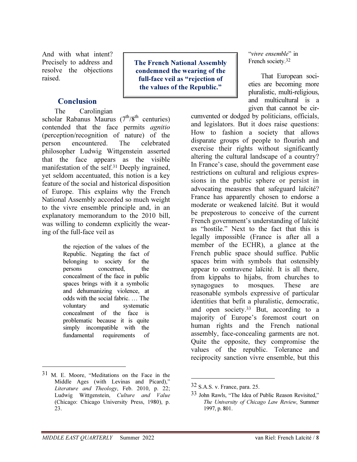And with what intent? Precisely to address and resolve the objections raised.

#### **Conclusion**

The Carolingian scholar Rabanus Maurus ( $7^{th}/8^{th}$  centuries) contended that the face permits agnitio (perception/recognition of nature) of the person encountered. The celebrated philosopher Ludwig Wittgenstein asserted that the face appears as the visible manifestation of the self.<sup>31</sup> Deeply ingrained, yet seldom accentuated, this notion is a key feature of the social and historical disposition of Europe. This explains why the French National Assembly accorded so much weight to the vivre ensemble principle and, in an explanatory memorandum to the 2010 bill, was willing to condemn explicitly the wearing of the full-face veil as

> the rejection of the values of the Republic. Negating the fact of belonging to society for the persons concerned, the concealment of the face in public spaces brings with it a symbolic and dehumanizing violence, at odds with the social fabric. … The voluntary and systematic concealment of the face is problematic because it is quite simply incompatible with the fundamental requirements of

The French National Assembly condemned the wearing of the full-face veil as "rejection of the values of the Republic."

"vivre ensemble" in French society.<sup>32</sup>

That European societies are becoming more pluralistic, multi-religious, and multicultural is a given that cannot be cir-

cumvented or dodged by politicians, officials, and legislators. But it does raise questions: How to fashion a society that allows disparate groups of people to flourish and exercise their rights without significantly altering the cultural landscape of a country? In France's case, should the government ease restrictions on cultural and religious expressions in the public sphere or persist in advocating measures that safeguard laïcité? France has apparently chosen to endorse a moderate or weakened laïcité. But it would be preposterous to conceive of the current French government's understanding of laïcité as "hostile." Next to the fact that this is legally impossible (France is after all a member of the ECHR), a glance at the French public space should suffice. Public spaces brim with symbols that ostensibly appear to contravene laïcité. It is all there, from kippahs to hijabs, from churches to synagogues to mosques. These are reasonable symbols expressive of particular identities that befit a pluralistic, democratic, and open society.<sup>33</sup> But, according to a majority of Europe's foremost court on human rights and the French national assembly, face-concealing garments are not. Quite the opposite, they compromise the values of the republic. Tolerance and reciprocity sanction vivre ensemble, but this

-

<sup>31</sup> M. E. Moore, "Meditations on the Face in the Middle Ages (with Levinas and Picard)," Literature and Theology, Feb. 2010, p. 22; Ludwig Wittgenstein, Culture and Value (Chicago: Chicago University Press, 1980), p. 23.

<sup>32</sup> S.A.S. v. France, para. 25.

<sup>33</sup> John Rawls, "The Idea of Public Reason Revisited," The University of Chicago Law Review, Summer 1997, p. 801.